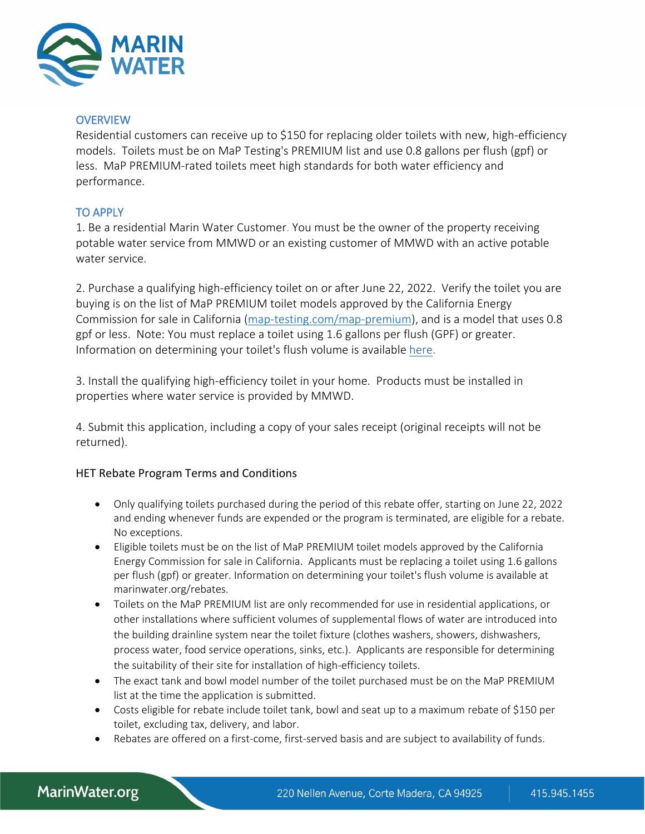

#### **OVERVIEW**

Residential customers can receive up to \$150 for replacing older toilets with new, high-efficiency models. Toilets must be on MaP Testing's PREMIUM list and use 0.8 gallons per flush (gpf) or less. MaP PREMIUM-rated toilets meet high standards for both water efficiency and performance.

### TO APPLY

1. Be a residential Marin Water Customer. You must be the owner of the property receiving potable water service from MMWD or an existing customer of MMWD with an active potable water service.

2. Purchase a qualifying high-efficiency toilet on or after June 22, 2022. Verify the toilet you are buying is on the list of MaP PREMIUM toilet models approved by the California Energy Commission for sale in California [\(map-testing.com/map-premium\)](https://www.map-testing.com/map-premium.html), and is a model that uses 0.8 gpf or less. Note: You must replace a toilet using 1.6 gallons per flush (GPF) or greater. Information on determining your toilet's flush volume is available here.

3. Install the qualifying high-efficiency toilet in your home. Products must be installed in properties where water service is provided by MMWD.

4. Submit this application, including a copy of your sales receipt (original receipts will not be returned).

### HET Rebate Program Terms and Conditions

- Only qualifying toilets purchased during the period of this rebate offer, starting on June 22, 2022 and ending whenever funds are expended or the program is terminated, are eligible for a rebate. No exceptions.
- Eligible toilets must be on the list of MaP PREMIUM toilet models approved by the California Energy Commission for sale in California. Applicants must be replacing a toilet using 1.6 gallons per flush (gpf) or greater. Information on determining your toilet's flush volume is available at marinwater.org/rebates.
- Toilets on the MaP PREMIUM list are only recommended for use in residential applications, or other installations where sufficient volumes of supplemental flows of water are introduced into the building drainline system near the toilet fixture (clothes washers, showers, dishwashers, process water, food service operations, sinks, etc.). Applicants are responsible for determining the suitability of their site for installation of high-efficiency toilets.
- The exact tank and bowl model number of the toilet purchased must be on the MaP PREMIUM list at the time the application is submitted.
- Costs eligible for rebate include toilet tank, bowl and seat up to a maximum rebate of \$150 per toilet, excluding tax, delivery, and labor.
- Rebates are offered on a first-come, first-served basis and are subject to availability of funds.

# MarinWater.org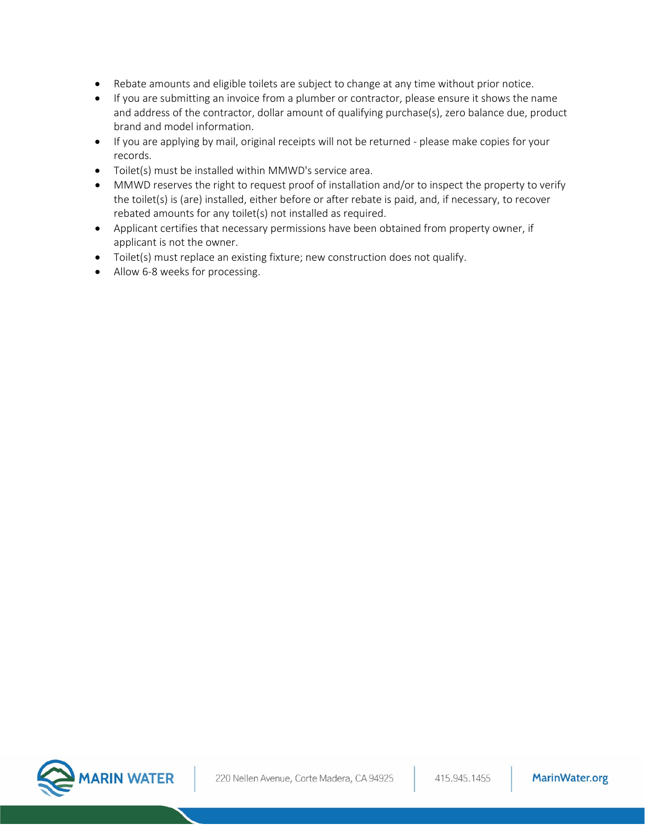- Rebate amounts and eligible toilets are subject to change at any time without prior notice.
- If you are submitting an invoice from a plumber or contractor, please ensure it shows the name and address of the contractor, dollar amount of qualifying purchase(s), zero balance due, product brand and model information.
- If you are applying by mail, original receipts will not be returned please make copies for your records.
- Toilet(s) must be installed within MMWD's service area.
- MMWD reserves the right to request proof of installation and/or to inspect the property to verify the toilet(s) is (are) installed, either before or after rebate is paid, and, if necessary, to recover rebated amounts for any toilet(s) not installed as required.
- Applicant certifies that necessary permissions have been obtained from property owner, if applicant is not the owner.
- Toilet(s) must replace an existing fixture; new construction does not qualify.
- Allow 6-8 weeks for processing.

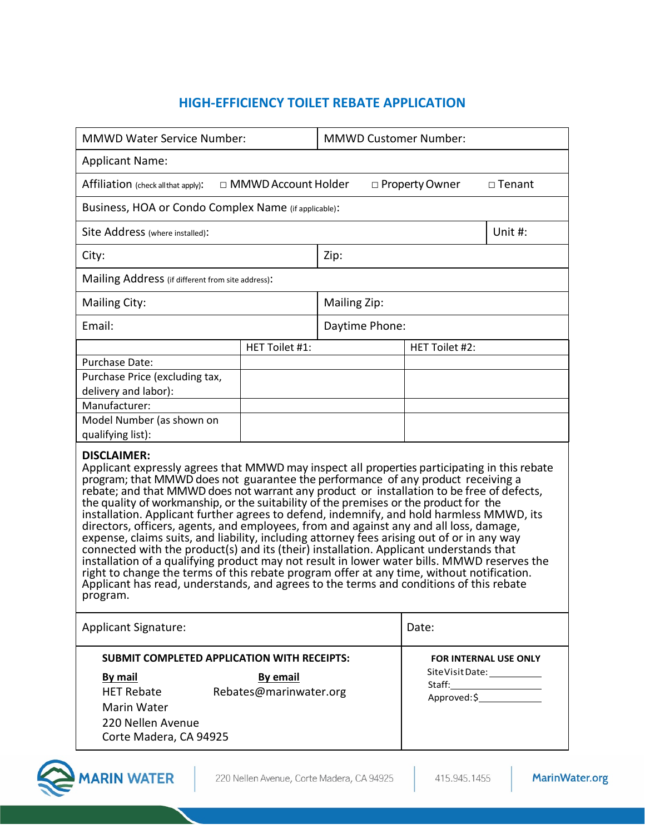## **HIGH-EFFICIENCY TOILET REBATE APPLICATION**

| <b>MMWD Water Service Number:</b>                                                                                                                                                                                                                                                                                                                                                                                                                                                                                                                                                                                                                                                                                                                                                                                                                                                                                                                                                                                                                                            |                | <b>MMWD Customer Number:</b> |                                                   |                              |
|------------------------------------------------------------------------------------------------------------------------------------------------------------------------------------------------------------------------------------------------------------------------------------------------------------------------------------------------------------------------------------------------------------------------------------------------------------------------------------------------------------------------------------------------------------------------------------------------------------------------------------------------------------------------------------------------------------------------------------------------------------------------------------------------------------------------------------------------------------------------------------------------------------------------------------------------------------------------------------------------------------------------------------------------------------------------------|----------------|------------------------------|---------------------------------------------------|------------------------------|
| <b>Applicant Name:</b>                                                                                                                                                                                                                                                                                                                                                                                                                                                                                                                                                                                                                                                                                                                                                                                                                                                                                                                                                                                                                                                       |                |                              |                                                   |                              |
| □ MMWD Account Holder<br>Affiliation (check all that apply):<br>□ Property Owner<br>$\Box$ Tenant                                                                                                                                                                                                                                                                                                                                                                                                                                                                                                                                                                                                                                                                                                                                                                                                                                                                                                                                                                            |                |                              |                                                   |                              |
| Business, HOA or Condo Complex Name (if applicable):                                                                                                                                                                                                                                                                                                                                                                                                                                                                                                                                                                                                                                                                                                                                                                                                                                                                                                                                                                                                                         |                |                              |                                                   |                              |
| Site Address (where installed):                                                                                                                                                                                                                                                                                                                                                                                                                                                                                                                                                                                                                                                                                                                                                                                                                                                                                                                                                                                                                                              |                |                              |                                                   | Unit #:                      |
| City:                                                                                                                                                                                                                                                                                                                                                                                                                                                                                                                                                                                                                                                                                                                                                                                                                                                                                                                                                                                                                                                                        | Zip:           |                              |                                                   |                              |
| Mailing Address (if different from site address):                                                                                                                                                                                                                                                                                                                                                                                                                                                                                                                                                                                                                                                                                                                                                                                                                                                                                                                                                                                                                            |                |                              |                                                   |                              |
| Mailing City:                                                                                                                                                                                                                                                                                                                                                                                                                                                                                                                                                                                                                                                                                                                                                                                                                                                                                                                                                                                                                                                                |                | Mailing Zip:                 |                                                   |                              |
| Email:                                                                                                                                                                                                                                                                                                                                                                                                                                                                                                                                                                                                                                                                                                                                                                                                                                                                                                                                                                                                                                                                       |                | Daytime Phone:               |                                                   |                              |
|                                                                                                                                                                                                                                                                                                                                                                                                                                                                                                                                                                                                                                                                                                                                                                                                                                                                                                                                                                                                                                                                              | HET Toilet #1: |                              | HET Toilet #2:                                    |                              |
| Purchase Date:                                                                                                                                                                                                                                                                                                                                                                                                                                                                                                                                                                                                                                                                                                                                                                                                                                                                                                                                                                                                                                                               |                |                              |                                                   |                              |
| Purchase Price (excluding tax,                                                                                                                                                                                                                                                                                                                                                                                                                                                                                                                                                                                                                                                                                                                                                                                                                                                                                                                                                                                                                                               |                |                              |                                                   |                              |
| delivery and labor):                                                                                                                                                                                                                                                                                                                                                                                                                                                                                                                                                                                                                                                                                                                                                                                                                                                                                                                                                                                                                                                         |                |                              |                                                   |                              |
| Manufacturer:                                                                                                                                                                                                                                                                                                                                                                                                                                                                                                                                                                                                                                                                                                                                                                                                                                                                                                                                                                                                                                                                |                |                              |                                                   |                              |
| Model Number (as shown on<br>qualifying list):                                                                                                                                                                                                                                                                                                                                                                                                                                                                                                                                                                                                                                                                                                                                                                                                                                                                                                                                                                                                                               |                |                              |                                                   |                              |
| <b>DISCLAIMER:</b><br>Applicant expressly agrees that MMWD may inspect all properties participating in this rebate<br>program; that MMWD does not guarantee the performance of any product receiving a<br>rebate; and that MMWD does not warrant any product or installation to be free of defects,<br>the quality of workmanship, or the suitability of the premises or the product for the<br>installation. Applicant further agrees to defend, indemnify, and hold harmless MMWD, its<br>directors, officers, agents, and employees, from and against any and all loss, damage,<br>expense, claims suits, and liability, including attorney fees arising out of or in any way<br>connected with the product(s) and its (their) installation. Applicant understands that<br>installation of a qualifying product may not result in lower water bills. MMWD reserves the<br>right to change the terms of this rebate program offer at any time, without notification.<br>Applicant has read, understands, and agrees to the terms and conditions of this rebate<br>program. |                |                              |                                                   |                              |
| <b>Applicant Signature:</b>                                                                                                                                                                                                                                                                                                                                                                                                                                                                                                                                                                                                                                                                                                                                                                                                                                                                                                                                                                                                                                                  |                |                              | Date:                                             |                              |
| <b>SUBMIT COMPLETED APPLICATION WITH RECEIPTS:</b>                                                                                                                                                                                                                                                                                                                                                                                                                                                                                                                                                                                                                                                                                                                                                                                                                                                                                                                                                                                                                           |                |                              |                                                   | <b>FOR INTERNAL USE ONLY</b> |
| <b>By mail</b><br><b>By email</b><br>Rebates@marinwater.org<br><b>HET Rebate</b><br>Marin Water<br>220 Nellen Avenue<br>Corte Madera, CA 94925                                                                                                                                                                                                                                                                                                                                                                                                                                                                                                                                                                                                                                                                                                                                                                                                                                                                                                                               |                |                              | SiteVisitDate: ___________<br>Approved:\$________ |                              |